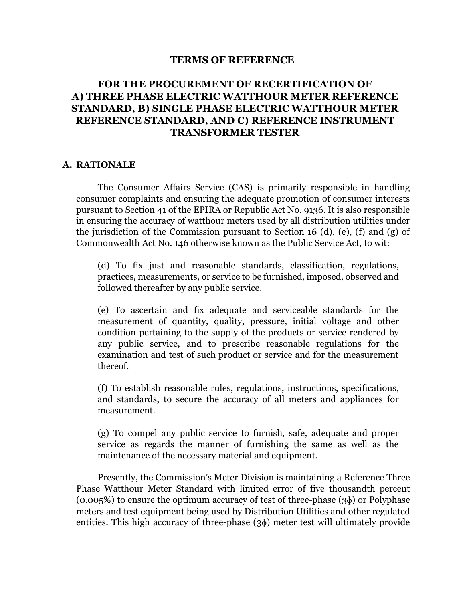### **TERMS OF REFERENCE**

# **FOR THE PROCUREMENT OF RECERTIFICATION OF A) THREE PHASE ELECTRIC WATTHOUR METER REFERENCE STANDARD, B) SINGLE PHASE ELECTRIC WATTHOUR METER REFERENCE STANDARD, AND C) REFERENCE INSTRUMENT TRANSFORMER TESTER**

#### **A. RATIONALE**

The Consumer Affairs Service (CAS) is primarily responsible in handling consumer complaints and ensuring the adequate promotion of consumer interests pursuant to Section 41 of the EPIRA or Republic Act No. 9136. It is also responsible in ensuring the accuracy of watthour meters used by all distribution utilities under the jurisdiction of the Commission pursuant to Section 16 (d), (e), (f) and (g) of Commonwealth Act No. 146 otherwise known as the Public Service Act, to wit:

(d) To fix just and reasonable standards, classification, regulations, practices, measurements, or service to be furnished, imposed, observed and followed thereafter by any public service.

(e) To ascertain and fix adequate and serviceable standards for the measurement of quantity, quality, pressure, initial voltage and other condition pertaining to the supply of the products or service rendered by any public service, and to prescribe reasonable regulations for the examination and test of such product or service and for the measurement thereof.

(f) To establish reasonable rules, regulations, instructions, specifications, and standards, to secure the accuracy of all meters and appliances for measurement.

(g) To compel any public service to furnish, safe, adequate and proper service as regards the manner of furnishing the same as well as the maintenance of the necessary material and equipment.

Presently, the Commission's Meter Division is maintaining a Reference Three Phase Watthour Meter Standard with limited error of five thousandth percent  $(0.005\%)$  to ensure the optimum accuracy of test of three-phase  $(3\phi)$  or Polyphase meters and test equipment being used by Distribution Utilities and other regulated entities. This high accuracy of three-phase (3ɸ) meter test will ultimately provide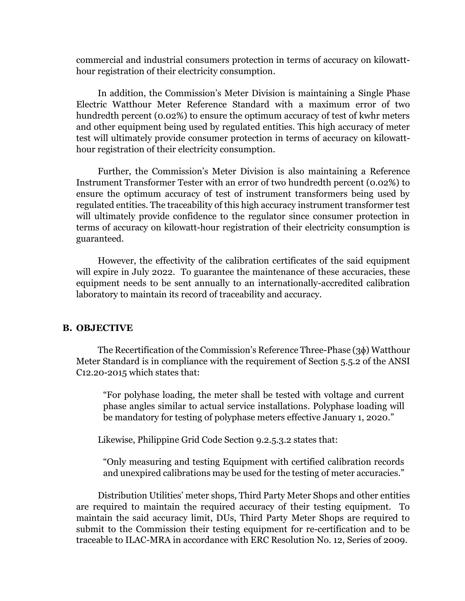commercial and industrial consumers protection in terms of accuracy on kilowatthour registration of their electricity consumption.

In addition, the Commission's Meter Division is maintaining a Single Phase Electric Watthour Meter Reference Standard with a maximum error of two hundredth percent (0.02%) to ensure the optimum accuracy of test of kwhr meters and other equipment being used by regulated entities. This high accuracy of meter test will ultimately provide consumer protection in terms of accuracy on kilowatthour registration of their electricity consumption.

Further, the Commission's Meter Division is also maintaining a Reference Instrument Transformer Tester with an error of two hundredth percent (0.02%) to ensure the optimum accuracy of test of instrument transformers being used by regulated entities. The traceability of this high accuracy instrument transformer test will ultimately provide confidence to the regulator since consumer protection in terms of accuracy on kilowatt-hour registration of their electricity consumption is guaranteed.

However, the effectivity of the calibration certificates of the said equipment will expire in July 2022. To guarantee the maintenance of these accuracies, these equipment needs to be sent annually to an internationally-accredited calibration laboratory to maintain its record of traceability and accuracy.

#### **B. OBJECTIVE**

The Recertification of the Commission's Reference Three-Phase (3ɸ) Watthour Meter Standard is in compliance with the requirement of Section 5.5.2 of the ANSI C12.20-2015 which states that:

"For polyhase loading, the meter shall be tested with voltage and current phase angles similar to actual service installations. Polyphase loading will be mandatory for testing of polyphase meters effective January 1, 2020."

Likewise, Philippine Grid Code Section 9.2.5.3.2 states that:

"Only measuring and testing Equipment with certified calibration records and unexpired calibrations may be used for the testing of meter accuracies."

Distribution Utilities' meter shops, Third Party Meter Shops and other entities are required to maintain the required accuracy of their testing equipment. To maintain the said accuracy limit, DUs, Third Party Meter Shops are required to submit to the Commission their testing equipment for re-certification and to be traceable to ILAC-MRA in accordance with ERC Resolution No. 12, Series of 2009.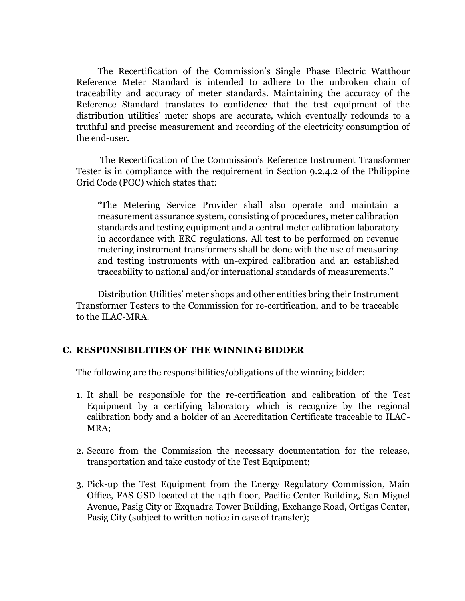The Recertification of the Commission's Single Phase Electric Watthour Reference Meter Standard is intended to adhere to the unbroken chain of traceability and accuracy of meter standards. Maintaining the accuracy of the Reference Standard translates to confidence that the test equipment of the distribution utilities' meter shops are accurate, which eventually redounds to a truthful and precise measurement and recording of the electricity consumption of the end-user.

The Recertification of the Commission's Reference Instrument Transformer Tester is in compliance with the requirement in Section 9.2.4.2 of the Philippine Grid Code (PGC) which states that:

"The Metering Service Provider shall also operate and maintain a measurement assurance system, consisting of procedures, meter calibration standards and testing equipment and a central meter calibration laboratory in accordance with ERC regulations. All test to be performed on revenue metering instrument transformers shall be done with the use of measuring and testing instruments with un-expired calibration and an established traceability to national and/or international standards of measurements."

Distribution Utilities' meter shops and other entities bring their Instrument Transformer Testers to the Commission for re-certification, and to be traceable to the ILAC-MRA.

### **C. RESPONSIBILITIES OF THE WINNING BIDDER**

The following are the responsibilities/obligations of the winning bidder:

- 1. It shall be responsible for the re-certification and calibration of the Test Equipment by a certifying laboratory which is recognize by the regional calibration body and a holder of an Accreditation Certificate traceable to ILAC-MRA;
- 2. Secure from the Commission the necessary documentation for the release, transportation and take custody of the Test Equipment;
- 3. Pick-up the Test Equipment from the Energy Regulatory Commission, Main Office, FAS-GSD located at the 14th floor, Pacific Center Building, San Miguel Avenue, Pasig City or Exquadra Tower Building, Exchange Road, Ortigas Center, Pasig City (subject to written notice in case of transfer);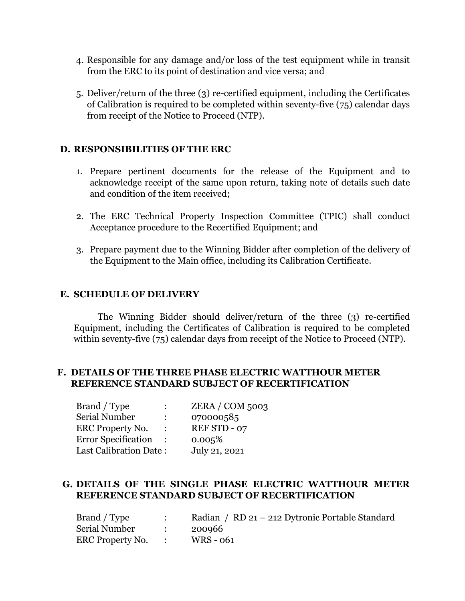- 4. Responsible for any damage and/or loss of the test equipment while in transit from the ERC to its point of destination and vice versa; and
- 5. Deliver/return of the three (3) re-certified equipment, including the Certificates of Calibration is required to be completed within seventy-five (75) calendar days from receipt of the Notice to Proceed (NTP).

# **D. RESPONSIBILITIES OF THE ERC**

- 1. Prepare pertinent documents for the release of the Equipment and to acknowledge receipt of the same upon return, taking note of details such date and condition of the item received;
- 2. The ERC Technical Property Inspection Committee (TPIC) shall conduct Acceptance procedure to the Recertified Equipment; and
- 3. Prepare payment due to the Winning Bidder after completion of the delivery of the Equipment to the Main office, including its Calibration Certificate.

# **E. SCHEDULE OF DELIVERY**

The Winning Bidder should deliver/return of the three (3) re-certified Equipment, including the Certificates of Calibration is required to be completed within seventy-five (75) calendar days from receipt of the Notice to Proceed (NTP).

# **F. DETAILS OF THE THREE PHASE ELECTRIC WATTHOUR METER REFERENCE STANDARD SUBJECT OF RECERTIFICATION**

| Brand / Type                  | $\ddot{\cdot}$ | $ZERA / COM$ 5003 |
|-------------------------------|----------------|-------------------|
| <b>Serial Number</b>          |                | 070000585         |
| ERC Property No.              |                | REF STD - 07      |
| <b>Error Specification</b>    |                | 0.005%            |
| <b>Last Calibration Date:</b> |                | July 21, 2021     |

# **G. DETAILS OF THE SINGLE PHASE ELECTRIC WATTHOUR METER REFERENCE STANDARD SUBJECT OF RECERTIFICATION**

| Brand / Type       | Radian / RD 21 – 212 Dytronic Portable Standard |
|--------------------|-------------------------------------------------|
| Serial Number      | 200966                                          |
| ERC Property No. : | WRS - 061                                       |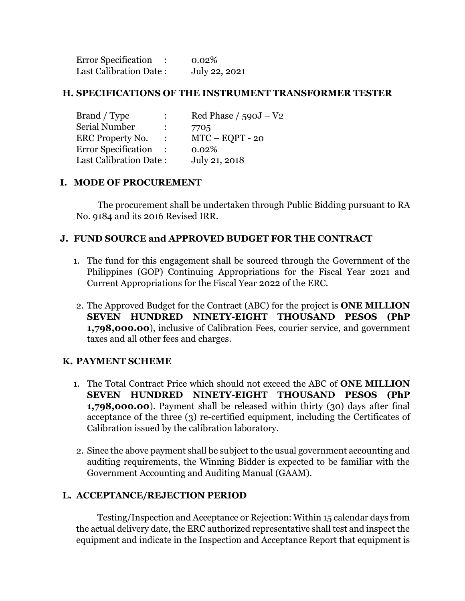| <b>Error Specification</b> | 0.02%         |
|----------------------------|---------------|
| Last Calibration Date:     | July 22, 2021 |

### **H. SPECIFICATIONS OF THE INSTRUMENT TRANSFORMER TESTER**

| Brand / Type                  | $\ddot{\phantom{0}}$ | Red Phase $/590J - V2$ |
|-------------------------------|----------------------|------------------------|
| Serial Number                 | $\ddot{\cdot}$       | 7705                   |
| ERC Property No.              | $\ddot{\cdot}$       | $MTC - EOPT - 20$      |
| <b>Error Specification</b>    |                      | 0.02%                  |
| <b>Last Calibration Date:</b> |                      | July 21, 2018          |

### **I. MODE OF PROCUREMENT**

The procurement shall be undertaken through Public Bidding pursuant to RA No. 9184 and its 2016 Revised IRR.

# **J. FUND SOURCE and APPROVED BUDGET FOR THE CONTRACT**

- 1. The fund for this engagement shall be sourced through the Government of the Philippines (GOP) Continuing Appropriations for the Fiscal Year 2021 and Current Appropriations for the Fiscal Year 2022 of the ERC.
- 2. The Approved Budget for the Contract (ABC) for the project is **ONE MILLION SEVEN HUNDRED NINETY-EIGHT THOUSAND PESOS (PhP 1,798,000.00**), inclusive of Calibration Fees, courier service, and government taxes and all other fees and charges.

# **K. PAYMENT SCHEME**

- 1. The Total Contract Price which should not exceed the ABC of **ONE MILLION SEVEN HUNDRED NINETY-EIGHT THOUSAND PESOS (PhP 1,798,000.00**). Payment shall be released within thirty (30) days after final acceptance of the three (3) re-certified equipment, including the Certificates of Calibration issued by the calibration laboratory.
- 2. Since the above payment shall be subject to the usual government accounting and auditing requirements, the Winning Bidder is expected to be familiar with the Government Accounting and Auditing Manual (GAAM).

# **L. ACCEPTANCE/REJECTION PERIOD**

Testing/Inspection and Acceptance or Rejection: Within 15 calendar days from the actual delivery date, the ERC authorized representative shall test and inspect the equipment and indicate in the Inspection and Acceptance Report that equipment is